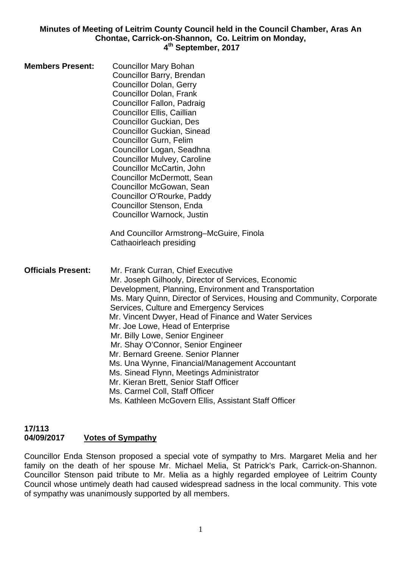**Minutes of Meeting of Leitrim County Council held in the Council Chamber, Aras An Chontae, Carrick-on-Shannon, Co. Leitrim on Monday, 4th September, 2017** 

| <b>Members Present:</b>   | <b>Councillor Mary Bohan</b><br>Councillor Barry, Brendan<br><b>Councillor Dolan, Gerry</b><br><b>Councillor Dolan, Frank</b><br>Councillor Fallon, Padraig<br><b>Councillor Ellis, Caillian</b><br><b>Councillor Guckian, Des</b><br><b>Councillor Guckian, Sinead</b><br><b>Councillor Gurn, Felim</b><br>Councillor Logan, Seadhna<br><b>Councillor Mulvey, Caroline</b><br>Councillor McCartin, John<br><b>Councillor McDermott, Sean</b><br>Councillor McGowan, Sean<br>Councillor O'Rourke, Paddy<br>Councillor Stenson, Enda<br>Councillor Warnock, Justin<br>And Councillor Armstrong-McGuire, Finola<br>Cathaoirleach presiding                                                                              |
|---------------------------|-----------------------------------------------------------------------------------------------------------------------------------------------------------------------------------------------------------------------------------------------------------------------------------------------------------------------------------------------------------------------------------------------------------------------------------------------------------------------------------------------------------------------------------------------------------------------------------------------------------------------------------------------------------------------------------------------------------------------|
| <b>Officials Present:</b> | Mr. Frank Curran, Chief Executive<br>Mr. Joseph Gilhooly, Director of Services, Economic<br>Development, Planning, Environment and Transportation<br>Ms. Mary Quinn, Director of Services, Housing and Community, Corporate<br>Services, Culture and Emergency Services<br>Mr. Vincent Dwyer, Head of Finance and Water Services<br>Mr. Joe Lowe, Head of Enterprise<br>Mr. Billy Lowe, Senior Engineer<br>Mr. Shay O'Connor, Senior Engineer<br>Mr. Bernard Greene, Senior Planner<br>Ms. Una Wynne, Financial/Management Accountant<br>Ms. Sinead Flynn, Meetings Administrator<br>Mr. Kieran Brett, Senior Staff Officer<br>Ms. Carmel Coll, Staff Officer<br>Ms. Kathleen McGovern Ellis, Assistant Staff Officer |

#### **17/113 04/09/2017 Votes of Sympathy**

Councillor Enda Stenson proposed a special vote of sympathy to Mrs. Margaret Melia and her family on the death of her spouse Mr. Michael Melia, St Patrick's Park, Carrick-on-Shannon. Councillor Stenson paid tribute to Mr. Melia as a highly regarded employee of Leitrim County Council whose untimely death had caused widespread sadness in the local community. This vote of sympathy was unanimously supported by all members.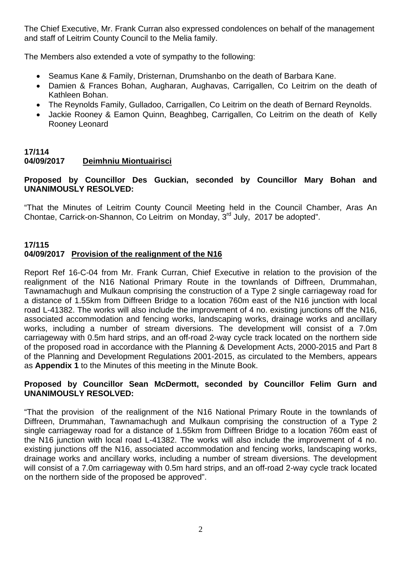The Chief Executive, Mr. Frank Curran also expressed condolences on behalf of the management and staff of Leitrim County Council to the Melia family.

The Members also extended a vote of sympathy to the following:

- Seamus Kane & Family, Dristernan, Drumshanbo on the death of Barbara Kane.
- Damien & Frances Bohan, Augharan, Aughavas, Carrigallen, Co Leitrim on the death of Kathleen Bohan.
- The Reynolds Family, Gulladoo, Carrigallen, Co Leitrim on the death of Bernard Reynolds.
- Jackie Rooney & Eamon Quinn, Beaghbeg, Carrigallen, Co Leitrim on the death of Kelly Rooney Leonard

# **17/114 04/09/2017 Deimhniu Miontuairisci**

# **Proposed by Councillor Des Guckian, seconded by Councillor Mary Bohan and UNANIMOUSLY RESOLVED:**

"That the Minutes of Leitrim County Council Meeting held in the Council Chamber, Aras An Chontae, Carrick-on-Shannon, Co Leitrim on Monday, 3<sup>rd</sup> July, 2017 be adopted".

# **17/115 04/09/2017 Provision of the realignment of the N16**

Report Ref 16-C-04 from Mr. Frank Curran, Chief Executive in relation to the provision of the realignment of the N16 National Primary Route in the townlands of Diffreen, Drummahan, Tawnamachugh and Mulkaun comprising the construction of a Type 2 single carriageway road for a distance of 1.55km from Diffreen Bridge to a location 760m east of the N16 junction with local road L-41382. The works will also include the improvement of 4 no. existing junctions off the N16, associated accommodation and fencing works, landscaping works, drainage works and ancillary works, including a number of stream diversions. The development will consist of a 7.0m carriageway with 0.5m hard strips, and an off-road 2-way cycle track located on the northern side of the proposed road in accordance with the Planning & Development Acts, 2000-2015 and Part 8 of the Planning and Development Regulations 2001-2015, as circulated to the Members, appears as **Appendix 1** to the Minutes of this meeting in the Minute Book.

# **Proposed by Councillor Sean McDermott, seconded by Councillor Felim Gurn and UNANIMOUSLY RESOLVED:**

"That the provision of the realignment of the N16 National Primary Route in the townlands of Diffreen, Drummahan, Tawnamachugh and Mulkaun comprising the construction of a Type 2 single carriageway road for a distance of 1.55km from Diffreen Bridge to a location 760m east of the N16 junction with local road L-41382. The works will also include the improvement of 4 no. existing junctions off the N16, associated accommodation and fencing works, landscaping works, drainage works and ancillary works, including a number of stream diversions. The development will consist of a 7.0m carriageway with 0.5m hard strips, and an off-road 2-way cycle track located on the northern side of the proposed be approved".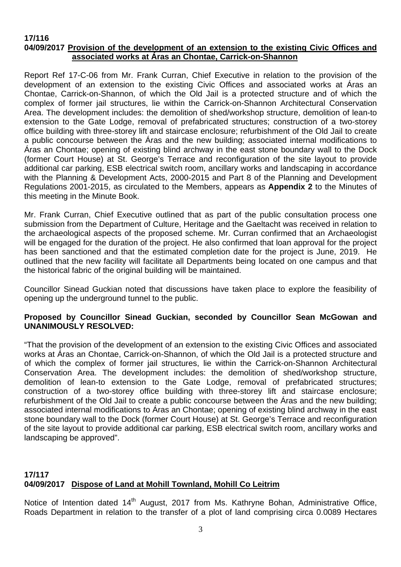#### **17/116 04/09/2017 Provision of the development of an extension to the existing Civic Offices and associated works at Áras an Chontae, Carrick-on-Shannon**

Report Ref 17-C-06 from Mr. Frank Curran, Chief Executive in relation to the provision of the development of an extension to the existing Civic Offices and associated works at Áras an Chontae, Carrick-on-Shannon, of which the Old Jail is a protected structure and of which the complex of former jail structures, lie within the Carrick-on-Shannon Architectural Conservation Area. The development includes: the demolition of shed/workshop structure, demolition of lean-to extension to the Gate Lodge, removal of prefabricated structures; construction of a two-storey office building with three-storey lift and staircase enclosure; refurbishment of the Old Jail to create a public concourse between the Áras and the new building; associated internal modifications to Áras an Chontae; opening of existing blind archway in the east stone boundary wall to the Dock (former Court House) at St. George's Terrace and reconfiguration of the site layout to provide additional car parking, ESB electrical switch room, ancillary works and landscaping in accordance with the Planning & Development Acts, 2000-2015 and Part 8 of the Planning and Development Regulations 2001-2015, as circulated to the Members, appears as **Appendix 2** to the Minutes of this meeting in the Minute Book.

Mr. Frank Curran, Chief Executive outlined that as part of the public consultation process one submission from the Department of Culture, Heritage and the Gaeltacht was received in relation to the archaeological aspects of the proposed scheme. Mr. Curran confirmed that an Archaeologist will be engaged for the duration of the project. He also confirmed that loan approval for the project has been sanctioned and that the estimated completion date for the project is June, 2019. He outlined that the new facility will facilitate all Departments being located on one campus and that the historical fabric of the original building will be maintained.

Councillor Sinead Guckian noted that discussions have taken place to explore the feasibility of opening up the underground tunnel to the public.

# **Proposed by Councillor Sinead Guckian, seconded by Councillor Sean McGowan and UNANIMOUSLY RESOLVED:**

"That the provision of the development of an extension to the existing Civic Offices and associated works at Áras an Chontae, Carrick-on-Shannon, of which the Old Jail is a protected structure and of which the complex of former jail structures, lie within the Carrick-on-Shannon Architectural Conservation Area. The development includes: the demolition of shed/workshop structure, demolition of lean-to extension to the Gate Lodge, removal of prefabricated structures; construction of a two-storey office building with three-storey lift and staircase enclosure; refurbishment of the Old Jail to create a public concourse between the Áras and the new building; associated internal modifications to Áras an Chontae; opening of existing blind archway in the east stone boundary wall to the Dock (former Court House) at St. George's Terrace and reconfiguration of the site layout to provide additional car parking, ESB electrical switch room, ancillary works and landscaping be approved".

# **17/117 04/09/2017 Dispose of Land at Mohill Townland, Mohill Co Leitrim**

Notice of Intention dated 14<sup>th</sup> August, 2017 from Ms. Kathryne Bohan, Administrative Office, Roads Department in relation to the transfer of a plot of land comprising circa 0.0089 Hectares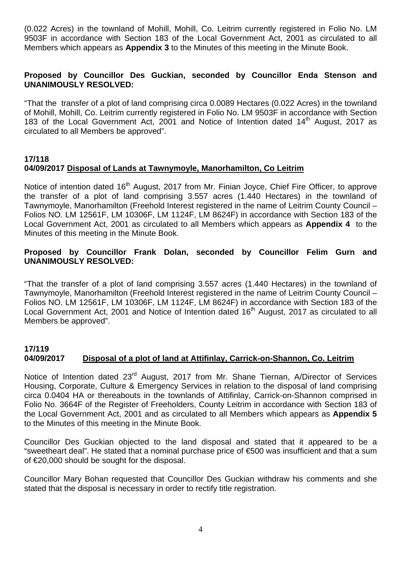(0.022 Acres) in the townland of Mohill, Mohill, Co. Leitrim currently registered in Folio No. LM 9503F in accordance with Section 183 of the Local Government Act, 2001 as circulated to all Members which appears as **Appendix 3** to the Minutes of this meeting in the Minute Book.

#### **Proposed by Councillor Des Guckian, seconded by Councillor Enda Stenson and UNANIMOUSLY RESOLVED:**

"That the transfer of a plot of land comprising circa 0.0089 Hectares (0.022 Acres) in the townland of Mohill, Mohill, Co. Leitrim currently registered in Folio No. LM 9503F in accordance with Section 183 of the Local Government Act, 2001 and Notice of Intention dated  $14<sup>th</sup>$  August. 2017 as circulated to all Members be approved".

## **17/118 04/09/2017 Disposal of Lands at Tawnymoyle, Manorhamilton, Co Leitrim**

Notice of intention dated 16<sup>th</sup> August, 2017 from Mr. Finian Joyce, Chief Fire Officer, to approve the transfer of a plot of land comprising 3.557 acres (1.440 Hectares) in the townland of Tawnymoyle, Manorhamilton (Freehold Interest registered in the name of Leitrim County Council – Folios NO. LM 12561F, LM 10306F, LM 1124F, LM 8624F) in accordance with Section 183 of the Local Government Act, 2001 as circulated to all Members which appears as **Appendix 4** to the Minutes of this meeting in the Minute Book.

## **Proposed by Councillor Frank Dolan, seconded by Councillor Felim Gurn and UNANIMOUSLY RESOLVED:**

"That the transfer of a plot of land comprising 3.557 acres (1.440 Hectares) in the townland of Tawnymoyle, Manorhamilton (Freehold Interest registered in the name of Leitrim County Council – Folios NO. LM 12561F, LM 10306F, LM 1124F, LM 8624F) in accordance with Section 183 of the Local Government Act, 2001 and Notice of Intention dated 16<sup>th</sup> August, 2017 as circulated to all Members be approved".

# **17/119**

# **04/09/2017 Disposal of a plot of land at Attifinlay, Carrick-on-Shannon, Co. Leitrim**

Notice of Intention dated 23<sup>rd</sup> August, 2017 from Mr. Shane Tiernan, A/Director of Services Housing, Corporate, Culture & Emergency Services in relation to the disposal of land comprising circa 0.0404 HA or thereabouts in the townlands of Attifinlay, Carrick-on-Shannon comprised in Folio No. 3664F of the Register of Freeholders, County Leitrim in accordance with Section 183 of the Local Government Act, 2001 and as circulated to all Members which appears as **Appendix 5** to the Minutes of this meeting in the Minute Book.

Councillor Des Guckian objected to the land disposal and stated that it appeared to be a "sweetheart deal". He stated that a nominal purchase price of €500 was insufficient and that a sum of €20,000 should be sought for the disposal.

Councillor Mary Bohan requested that Councillor Des Guckian withdraw his comments and she stated that the disposal is necessary in order to rectify title registration.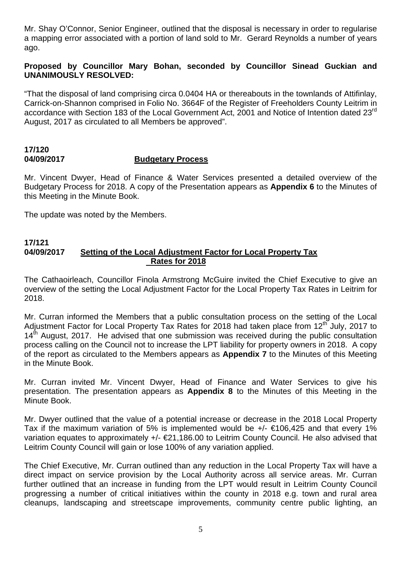Mr. Shay O'Connor, Senior Engineer, outlined that the disposal is necessary in order to regularise a mapping error associated with a portion of land sold to Mr. Gerard Reynolds a number of years ago.

# **Proposed by Councillor Mary Bohan, seconded by Councillor Sinead Guckian and UNANIMOUSLY RESOLVED:**

"That the disposal of land comprising circa 0.0404 HA or thereabouts in the townlands of Attifinlay, Carrick-on-Shannon comprised in Folio No. 3664F of the Register of Freeholders County Leitrim in accordance with Section 183 of the Local Government Act, 2001 and Notice of Intention dated 23<sup>rd</sup> August, 2017 as circulated to all Members be approved".

## **17/120 04/09/2017 Budgetary Process**

Mr. Vincent Dwyer, Head of Finance & Water Services presented a detailed overview of the Budgetary Process for 2018. A copy of the Presentation appears as **Appendix 6** to the Minutes of this Meeting in the Minute Book.

The update was noted by the Members.

#### **17/121 04/09/2017 Setting of the Local Adjustment Factor for Local Property Tax Rates for 2018**

The Cathaoirleach, Councillor Finola Armstrong McGuire invited the Chief Executive to give an overview of the setting the Local Adjustment Factor for the Local Property Tax Rates in Leitrim for 2018.

Mr. Curran informed the Members that a public consultation process on the setting of the Local Adjustment Factor for Local Property Tax Rates for 2018 had taken place from 12<sup>th</sup> July, 2017 to  $14<sup>th</sup>$  August, 2017. He advised that one submission was received during the public consultation process calling on the Council not to increase the LPT liability for property owners in 2018. A copy of the report as circulated to the Members appears as **Appendix 7** to the Minutes of this Meeting in the Minute Book.

Mr. Curran invited Mr. Vincent Dwyer, Head of Finance and Water Services to give his presentation. The presentation appears as **Appendix 8** to the Minutes of this Meeting in the Minute Book.

Mr. Dwyer outlined that the value of a potential increase or decrease in the 2018 Local Property Tax if the maximum variation of 5% is implemented would be  $+/ \in$ 106,425 and that every 1% variation equates to approximately +/- €21,186.00 to Leitrim County Council. He also advised that Leitrim County Council will gain or lose 100% of any variation applied.

The Chief Executive, Mr. Curran outlined than any reduction in the Local Property Tax will have a direct impact on service provision by the Local Authority across all service areas. Mr. Curran further outlined that an increase in funding from the LPT would result in Leitrim County Council progressing a number of critical initiatives within the county in 2018 e.g. town and rural area cleanups, landscaping and streetscape improvements, community centre public lighting, an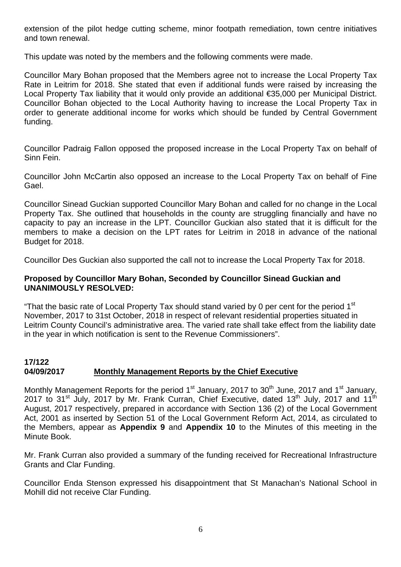extension of the pilot hedge cutting scheme, minor footpath remediation, town centre initiatives and town renewal.

This update was noted by the members and the following comments were made.

Councillor Mary Bohan proposed that the Members agree not to increase the Local Property Tax Rate in Leitrim for 2018. She stated that even if additional funds were raised by increasing the Local Property Tax liability that it would only provide an additional €35,000 per Municipal District. Councillor Bohan objected to the Local Authority having to increase the Local Property Tax in order to generate additional income for works which should be funded by Central Government funding.

Councillor Padraig Fallon opposed the proposed increase in the Local Property Tax on behalf of Sinn Fein.

Councillor John McCartin also opposed an increase to the Local Property Tax on behalf of Fine Gael.

Councillor Sinead Guckian supported Councillor Mary Bohan and called for no change in the Local Property Tax. She outlined that households in the county are struggling financially and have no capacity to pay an increase in the LPT. Councillor Guckian also stated that it is difficult for the members to make a decision on the LPT rates for Leitrim in 2018 in advance of the national Budget for 2018.

Councillor Des Guckian also supported the call not to increase the Local Property Tax for 2018.

# **Proposed by Councillor Mary Bohan, Seconded by Councillor Sinead Guckian and UNANIMOUSLY RESOLVED:**

"That the basic rate of Local Property Tax should stand varied by 0 per cent for the period  $1<sup>st</sup>$ November, 2017 to 31st October, 2018 in respect of relevant residential properties situated in Leitrim County Council's administrative area. The varied rate shall take effect from the liability date in the year in which notification is sent to the Revenue Commissioners".

# **17/122 04/09/2017 Monthly Management Reports by the Chief Executive**

Monthly Management Reports for the period 1<sup>st</sup> January, 2017 to 30<sup>th</sup> June, 2017 and 1<sup>st</sup> January, 2017 to 31<sup>st</sup> July, 2017 by Mr. Frank Curran, Chief Executive, dated 13<sup>th</sup> July, 2017 and 11<sup>th</sup> August, 2017 respectively, prepared in accordance with Section 136 (2) of the Local Government Act, 2001 as inserted by Section 51 of the Local Government Reform Act, 2014, as circulated to the Members, appear as **Appendix 9** and **Appendix 10** to the Minutes of this meeting in the Minute Book.

Mr. Frank Curran also provided a summary of the funding received for Recreational Infrastructure Grants and Clar Funding.

Councillor Enda Stenson expressed his disappointment that St Manachan's National School in Mohill did not receive Clar Funding.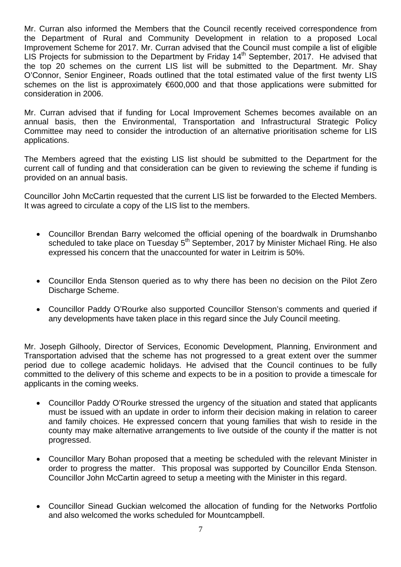Mr. Curran also informed the Members that the Council recently received correspondence from the Department of Rural and Community Development in relation to a proposed Local Improvement Scheme for 2017. Mr. Curran advised that the Council must compile a list of eligible LIS Projects for submission to the Department by Friday  $14<sup>th</sup>$  September, 2017. He advised that the top 20 schemes on the current LIS list will be submitted to the Department. Mr. Shay O'Connor, Senior Engineer, Roads outlined that the total estimated value of the first twenty LIS schemes on the list is approximately €600,000 and that those applications were submitted for consideration in 2006.

Mr. Curran advised that if funding for Local Improvement Schemes becomes available on an annual basis, then the Environmental, Transportation and Infrastructural Strategic Policy Committee may need to consider the introduction of an alternative prioritisation scheme for LIS applications.

The Members agreed that the existing LIS list should be submitted to the Department for the current call of funding and that consideration can be given to reviewing the scheme if funding is provided on an annual basis.

Councillor John McCartin requested that the current LIS list be forwarded to the Elected Members. It was agreed to circulate a copy of the LIS list to the members.

- Councillor Brendan Barry welcomed the official opening of the boardwalk in Drumshanbo scheduled to take place on Tuesday 5<sup>th</sup> September, 2017 by Minister Michael Ring. He also expressed his concern that the unaccounted for water in Leitrim is 50%.
- Councillor Enda Stenson queried as to why there has been no decision on the Pilot Zero Discharge Scheme.
- Councillor Paddy O'Rourke also supported Councillor Stenson's comments and queried if any developments have taken place in this regard since the July Council meeting.

Mr. Joseph Gilhooly, Director of Services, Economic Development, Planning, Environment and Transportation advised that the scheme has not progressed to a great extent over the summer period due to college academic holidays. He advised that the Council continues to be fully committed to the delivery of this scheme and expects to be in a position to provide a timescale for applicants in the coming weeks.

- Councillor Paddy O'Rourke stressed the urgency of the situation and stated that applicants must be issued with an update in order to inform their decision making in relation to career and family choices. He expressed concern that young families that wish to reside in the county may make alternative arrangements to live outside of the county if the matter is not progressed.
- Councillor Mary Bohan proposed that a meeting be scheduled with the relevant Minister in order to progress the matter. This proposal was supported by Councillor Enda Stenson. Councillor John McCartin agreed to setup a meeting with the Minister in this regard.
- Councillor Sinead Guckian welcomed the allocation of funding for the Networks Portfolio and also welcomed the works scheduled for Mountcampbell.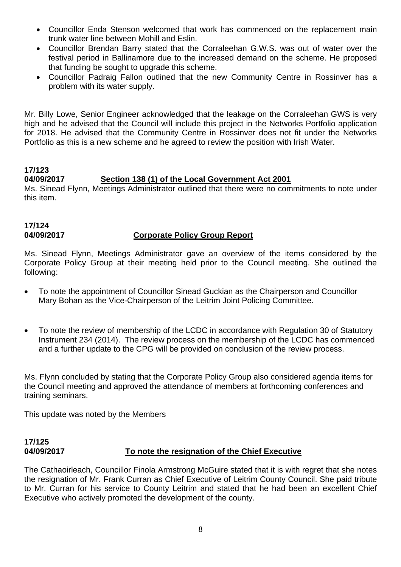- Councillor Enda Stenson welcomed that work has commenced on the replacement main trunk water line between Mohill and Eslin.
- Councillor Brendan Barry stated that the Corraleehan G.W.S. was out of water over the festival period in Ballinamore due to the increased demand on the scheme. He proposed that funding be sought to upgrade this scheme.
- Councillor Padraig Fallon outlined that the new Community Centre in Rossinver has a problem with its water supply.

Mr. Billy Lowe, Senior Engineer acknowledged that the leakage on the Corraleehan GWS is very high and he advised that the Council will include this project in the Networks Portfolio application for 2018. He advised that the Community Centre in Rossinver does not fit under the Networks Portfolio as this is a new scheme and he agreed to review the position with Irish Water.

# **17/123**

# **04/09/2017 Section 138 (1) of the Local Government Act 2001**

Ms. Sinead Flynn, Meetings Administrator outlined that there were no commitments to note under this item.

#### **17/124 04/09/2017 Corporate Policy Group Report**

Ms. Sinead Flynn, Meetings Administrator gave an overview of the items considered by the Corporate Policy Group at their meeting held prior to the Council meeting. She outlined the following:

- To note the appointment of Councillor Sinead Guckian as the Chairperson and Councillor Mary Bohan as the Vice-Chairperson of the Leitrim Joint Policing Committee.
- To note the review of membership of the LCDC in accordance with Regulation 30 of Statutory Instrument 234 (2014). The review process on the membership of the LCDC has commenced and a further update to the CPG will be provided on conclusion of the review process.

Ms. Flynn concluded by stating that the Corporate Policy Group also considered agenda items for the Council meeting and approved the attendance of members at forthcoming conferences and training seminars.

This update was noted by the Members

# **17/125 04/09/2017 To note the resignation of the Chief Executive**

The Cathaoirleach, Councillor Finola Armstrong McGuire stated that it is with regret that she notes the resignation of Mr. Frank Curran as Chief Executive of Leitrim County Council. She paid tribute to Mr. Curran for his service to County Leitrim and stated that he had been an excellent Chief Executive who actively promoted the development of the county.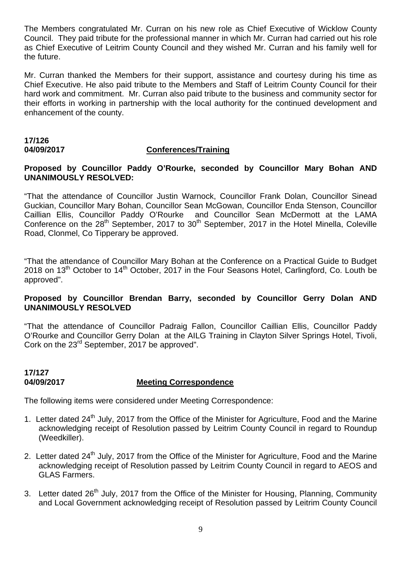The Members congratulated Mr. Curran on his new role as Chief Executive of Wicklow County Council. They paid tribute for the professional manner in which Mr. Curran had carried out his role as Chief Executive of Leitrim County Council and they wished Mr. Curran and his family well for the future.

Mr. Curran thanked the Members for their support, assistance and courtesy during his time as Chief Executive. He also paid tribute to the Members and Staff of Leitrim County Council for their hard work and commitment. Mr. Curran also paid tribute to the business and community sector for their efforts in working in partnership with the local authority for the continued development and enhancement of the county.

## **17/126 04/09/2017 Conferences/Training**

#### **Proposed by Councillor Paddy O'Rourke, seconded by Councillor Mary Bohan AND UNANIMOUSLY RESOLVED:**

"That the attendance of Councillor Justin Warnock, Councillor Frank Dolan, Councillor Sinead Guckian, Councillor Mary Bohan, Councillor Sean McGowan, Councillor Enda Stenson, Councillor Caillian Ellis, Councillor Paddy O'Rourke and Councillor Sean McDermott at the LAMA Conference on the  $28<sup>th</sup>$  September, 2017 to  $30<sup>th</sup>$  September, 2017 in the Hotel Minella, Coleville Road, Clonmel, Co Tipperary be approved.

"That the attendance of Councillor Mary Bohan at the Conference on a Practical Guide to Budget 2018 on 13<sup>th</sup> October to 14<sup>th</sup> October, 2017 in the Four Seasons Hotel, Carlingford, Co. Louth be approved".

#### **Proposed by Councillor Brendan Barry, seconded by Councillor Gerry Dolan AND UNANIMOUSLY RESOLVED**

"That the attendance of Councillor Padraig Fallon, Councillor Caillian Ellis, Councillor Paddy O'Rourke and Councillor Gerry Dolan at the AILG Training in Clayton Silver Springs Hotel, Tivoli, Cork on the 23<sup>rd</sup> September, 2017 be approved".

# **17/127 04/09/2017 Meeting Correspondence**

The following items were considered under Meeting Correspondence:

- 1. Letter dated 24<sup>th</sup> July, 2017 from the Office of the Minister for Agriculture, Food and the Marine acknowledging receipt of Resolution passed by Leitrim County Council in regard to Roundup (Weedkiller).
- 2. Letter dated 24<sup>th</sup> July, 2017 from the Office of the Minister for Agriculture, Food and the Marine acknowledging receipt of Resolution passed by Leitrim County Council in regard to AEOS and GLAS Farmers.
- 3. Letter dated 26<sup>th</sup> July, 2017 from the Office of the Minister for Housing, Planning, Community and Local Government acknowledging receipt of Resolution passed by Leitrim County Council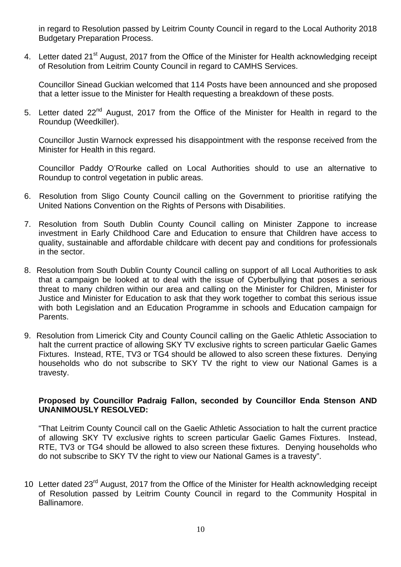in regard to Resolution passed by Leitrim County Council in regard to the Local Authority 2018 Budgetary Preparation Process.

4. Letter dated 21<sup>st</sup> August, 2017 from the Office of the Minister for Health acknowledging receipt of Resolution from Leitrim County Council in regard to CAMHS Services.

Councillor Sinead Guckian welcomed that 114 Posts have been announced and she proposed that a letter issue to the Minister for Health requesting a breakdown of these posts.

5. Letter dated 22<sup>nd</sup> August, 2017 from the Office of the Minister for Health in regard to the Roundup (Weedkiller).

Councillor Justin Warnock expressed his disappointment with the response received from the Minister for Health in this regard.

Councillor Paddy O'Rourke called on Local Authorities should to use an alternative to Roundup to control vegetation in public areas.

- 6. Resolution from Sligo County Council calling on the Government to prioritise ratifying the United Nations Convention on the Rights of Persons with Disabilities.
- 7. Resolution from South Dublin County Council calling on Minister Zappone to increase investment in Early Childhood Care and Education to ensure that Children have access to quality, sustainable and affordable childcare with decent pay and conditions for professionals in the sector.
- 8. Resolution from South Dublin County Council calling on support of all Local Authorities to ask that a campaign be looked at to deal with the issue of Cyberbullying that poses a serious threat to many children within our area and calling on the Minister for Children, Minister for Justice and Minister for Education to ask that they work together to combat this serious issue with both Legislation and an Education Programme in schools and Education campaign for Parents.
- 9. Resolution from Limerick City and County Council calling on the Gaelic Athletic Association to halt the current practice of allowing SKY TV exclusive rights to screen particular Gaelic Games Fixtures. Instead, RTE, TV3 or TG4 should be allowed to also screen these fixtures. Denying households who do not subscribe to SKY TV the right to view our National Games is a travesty.

#### **Proposed by Councillor Padraig Fallon, seconded by Councillor Enda Stenson AND UNANIMOUSLY RESOLVED:**

"That Leitrim County Council call on the Gaelic Athletic Association to halt the current practice of allowing SKY TV exclusive rights to screen particular Gaelic Games Fixtures. Instead, RTE, TV3 or TG4 should be allowed to also screen these fixtures. Denying households who do not subscribe to SKY TV the right to view our National Games is a travesty".

10 Letter dated 23<sup>rd</sup> August, 2017 from the Office of the Minister for Health acknowledging receipt of Resolution passed by Leitrim County Council in regard to the Community Hospital in Ballinamore.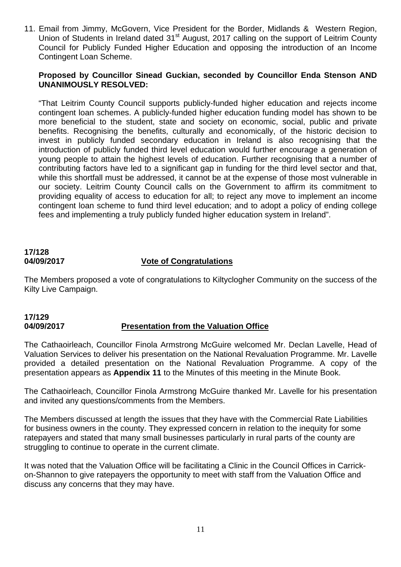11. Email from Jimmy, McGovern, Vice President for the Border, Midlands & Western Region, Union of Students in Ireland dated 31<sup>st</sup> August, 2017 calling on the support of Leitrim County Council for Publicly Funded Higher Education and opposing the introduction of an Income Contingent Loan Scheme.

#### **Proposed by Councillor Sinead Guckian, seconded by Councillor Enda Stenson AND UNANIMOUSLY RESOLVED:**

"That Leitrim County Council supports publicly-funded higher education and rejects income contingent loan schemes. A publicly-funded higher education funding model has shown to be more beneficial to the student, state and society on economic, social, public and private benefits. Recognising the benefits, culturally and economically, of the historic decision to invest in publicly funded secondary education in Ireland is also recognising that the introduction of publicly funded third level education would further encourage a generation of young people to attain the highest levels of education. Further recognising that a number of contributing factors have led to a significant gap in funding for the third level sector and that, while this shortfall must be addressed, it cannot be at the expense of those most vulnerable in our society. Leitrim County Council calls on the Government to affirm its commitment to providing equality of access to education for all; to reject any move to implement an income contingent loan scheme to fund third level education; and to adopt a policy of ending college fees and implementing a truly publicly funded higher education system in Ireland".

# **17/128 04/09/2017 Vote of Congratulations**

The Members proposed a vote of congratulations to Kiltyclogher Community on the success of the Kilty Live Campaign.

# **17/129 04/09/2017 Presentation from the Valuation Office**

The Cathaoirleach, Councillor Finola Armstrong McGuire welcomed Mr. Declan Lavelle, Head of Valuation Services to deliver his presentation on the National Revaluation Programme. Mr. Lavelle provided a detailed presentation on the National Revaluation Programme. A copy of the presentation appears as **Appendix 11** to the Minutes of this meeting in the Minute Book.

The Cathaoirleach, Councillor Finola Armstrong McGuire thanked Mr. Lavelle for his presentation and invited any questions/comments from the Members.

The Members discussed at length the issues that they have with the Commercial Rate Liabilities for business owners in the county. They expressed concern in relation to the inequity for some ratepayers and stated that many small businesses particularly in rural parts of the county are struggling to continue to operate in the current climate.

It was noted that the Valuation Office will be facilitating a Clinic in the Council Offices in Carrickon-Shannon to give ratepayers the opportunity to meet with staff from the Valuation Office and discuss any concerns that they may have.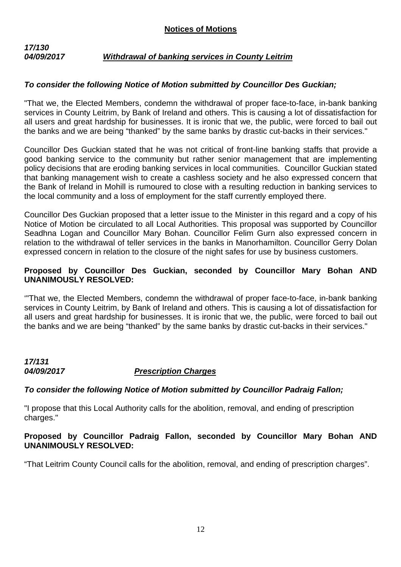# *17/130 04/09/2017 Withdrawal of banking services in County Leitrim*

# *To consider the following Notice of Motion submitted by Councillor Des Guckian;*

"That we, the Elected Members, condemn the withdrawal of proper face-to-face, in-bank banking services in County Leitrim, by Bank of Ireland and others. This is causing a lot of dissatisfaction for all users and great hardship for businesses. It is ironic that we, the public, were forced to bail out the banks and we are being "thanked" by the same banks by drastic cut-backs in their services."

Councillor Des Guckian stated that he was not critical of front-line banking staffs that provide a good banking service to the community but rather senior management that are implementing policy decisions that are eroding banking services in local communities. Councillor Guckian stated that banking management wish to create a cashless society and he also expressed concern that the Bank of Ireland in Mohill is rumoured to close with a resulting reduction in banking services to the local community and a loss of employment for the staff currently employed there.

Councillor Des Guckian proposed that a letter issue to the Minister in this regard and a copy of his Notice of Motion be circulated to all Local Authorities. This proposal was supported by Councillor Seadhna Logan and Councillor Mary Bohan. Councillor Felim Gurn also expressed concern in relation to the withdrawal of teller services in the banks in Manorhamilton. Councillor Gerry Dolan expressed concern in relation to the closure of the night safes for use by business customers.

# **Proposed by Councillor Des Guckian, seconded by Councillor Mary Bohan AND UNANIMOUSLY RESOLVED:**

'"That we, the Elected Members, condemn the withdrawal of proper face-to-face, in-bank banking services in County Leitrim, by Bank of Ireland and others. This is causing a lot of dissatisfaction for all users and great hardship for businesses. It is ironic that we, the public, were forced to bail out the banks and we are being "thanked" by the same banks by drastic cut-backs in their services."

# *17/131 04/09/2017 Prescription Charges*

# *To consider the following Notice of Motion submitted by Councillor Padraig Fallon;*

"I propose that this Local Authority calls for the abolition, removal, and ending of prescription charges."

# **Proposed by Councillor Padraig Fallon, seconded by Councillor Mary Bohan AND UNANIMOUSLY RESOLVED:**

"That Leitrim County Council calls for the abolition, removal, and ending of prescription charges".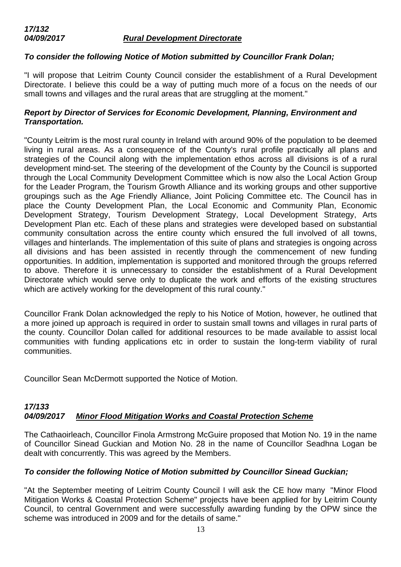# *To consider the following Notice of Motion submitted by Councillor Frank Dolan;*

"I will propose that Leitrim County Council consider the establishment of a Rural Development Directorate. I believe this could be a way of putting much more of a focus on the needs of our small towns and villages and the rural areas that are struggling at the moment."

# *Report by Director of Services for Economic Development, Planning, Environment and Transportation.*

"County Leitrim is the most rural county in Ireland with around 90% of the population to be deemed living in rural areas. As a consequence of the County's rural profile practically all plans and strategies of the Council along with the implementation ethos across all divisions is of a rural development mind-set. The steering of the development of the County by the Council is supported through the Local Community Development Committee which is now also the Local Action Group for the Leader Program, the Tourism Growth Alliance and its working groups and other supportive groupings such as the Age Friendly Alliance, Joint Policing Committee etc. The Council has in place the County Development Plan, the Local Economic and Community Plan, Economic Development Strategy, Tourism Development Strategy, Local Development Strategy, Arts Development Plan etc. Each of these plans and strategies were developed based on substantial community consultation across the entire county which ensured the full involved of all towns, villages and hinterlands. The implementation of this suite of plans and strategies is ongoing across all divisions and has been assisted in recently through the commencement of new funding opportunities. In addition, implementation is supported and monitored through the groups referred to above. Therefore it is unnecessary to consider the establishment of a Rural Development Directorate which would serve only to duplicate the work and efforts of the existing structures which are actively working for the development of this rural county."

Councillor Frank Dolan acknowledged the reply to his Notice of Motion, however, he outlined that a more joined up approach is required in order to sustain small towns and villages in rural parts of the county. Councillor Dolan called for additional resources to be made available to assist local communities with funding applications etc in order to sustain the long-term viability of rural communities.

Councillor Sean McDermott supported the Notice of Motion.

#### *17/133 04/09/2017 Minor Flood Mitigation Works and Coastal Protection Scheme*

The Cathaoirleach, Councillor Finola Armstrong McGuire proposed that Motion No. 19 in the name of Councillor Sinead Guckian and Motion No. 28 in the name of Councillor Seadhna Logan be dealt with concurrently. This was agreed by the Members.

#### *To consider the following Notice of Motion submitted by Councillor Sinead Guckian;*

"At the September meeting of Leitrim County Council I will ask the CE how many "Minor Flood Mitigation Works & Coastal Protection Scheme" projects have been applied for by Leitrim County Council, to central Government and were successfully awarding funding by the OPW since the scheme was introduced in 2009 and for the details of same."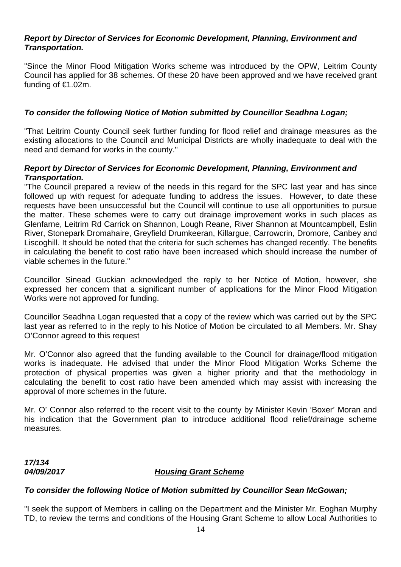# *Report by Director of Services for Economic Development, Planning, Environment and Transportation.*

"Since the Minor Flood Mitigation Works scheme was introduced by the OPW, Leitrim County Council has applied for 38 schemes. Of these 20 have been approved and we have received grant funding of €1.02m.

# *To consider the following Notice of Motion submitted by Councillor Seadhna Logan;*

"That Leitrim County Council seek further funding for flood relief and drainage measures as the existing allocations to the Council and Municipal Districts are wholly inadequate to deal with the need and demand for works in the county."

## *Report by Director of Services for Economic Development, Planning, Environment and Transportation.*

"The Council prepared a review of the needs in this regard for the SPC last year and has since followed up with request for adequate funding to address the issues. However, to date these requests have been unsuccessful but the Council will continue to use all opportunities to pursue the matter. These schemes were to carry out drainage improvement works in such places as Glenfarne, Leitrim Rd Carrick on Shannon, Lough Reane, River Shannon at Mountcampbell, Eslin River, Stonepark Dromahaire, Greyfield Drumkeeran, Killargue, Carrowcrin, Dromore, Canbey and Liscoghill. It should be noted that the criteria for such schemes has changed recently. The benefits in calculating the benefit to cost ratio have been increased which should increase the number of viable schemes in the future."

Councillor Sinead Guckian acknowledged the reply to her Notice of Motion, however, she expressed her concern that a significant number of applications for the Minor Flood Mitigation Works were not approved for funding.

Councillor Seadhna Logan requested that a copy of the review which was carried out by the SPC last year as referred to in the reply to his Notice of Motion be circulated to all Members. Mr. Shay O'Connor agreed to this request

Mr. O'Connor also agreed that the funding available to the Council for drainage/flood mitigation works is inadequate. He advised that under the Minor Flood Mitigation Works Scheme the protection of physical properties was given a higher priority and that the methodology in calculating the benefit to cost ratio have been amended which may assist with increasing the approval of more schemes in the future.

Mr. O' Connor also referred to the recent visit to the county by Minister Kevin 'Boxer' Moran and his indication that the Government plan to introduce additional flood relief/drainage scheme measures.

# *17/134*

## *04/09/2017 Housing Grant Scheme*

#### *To consider the following Notice of Motion submitted by Councillor Sean McGowan;*

"I seek the support of Members in calling on the Department and the Minister Mr. Eoghan Murphy TD, to review the terms and conditions of the Housing Grant Scheme to allow Local Authorities to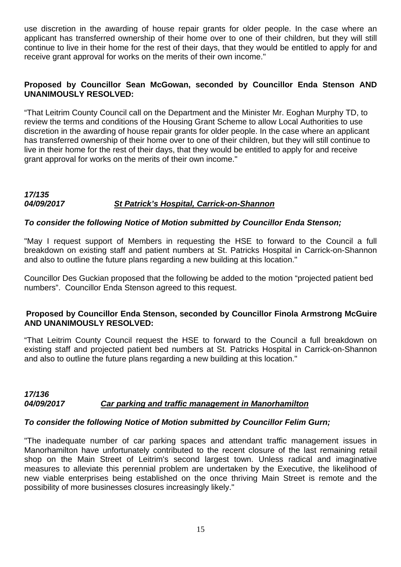use discretion in the awarding of house repair grants for older people. In the case where an applicant has transferred ownership of their home over to one of their children, but they will still continue to live in their home for the rest of their days, that they would be entitled to apply for and receive grant approval for works on the merits of their own income."

# **Proposed by Councillor Sean McGowan, seconded by Councillor Enda Stenson AND UNANIMOUSLY RESOLVED:**

"That Leitrim County Council call on the Department and the Minister Mr. Eoghan Murphy TD, to review the terms and conditions of the Housing Grant Scheme to allow Local Authorities to use discretion in the awarding of house repair grants for older people. In the case where an applicant has transferred ownership of their home over to one of their children, but they will still continue to live in their home for the rest of their days, that they would be entitled to apply for and receive grant approval for works on the merits of their own income."

#### *17/135 04/09/2017 St Patrick's Hospital, Carrick-on-Shannon*

# *To consider the following Notice of Motion submitted by Councillor Enda Stenson;*

"May I request support of Members in requesting the HSE to forward to the Council a full breakdown on existing staff and patient numbers at St. Patricks Hospital in Carrick-on-Shannon and also to outline the future plans regarding a new building at this location."

Councillor Des Guckian proposed that the following be added to the motion "projected patient bed numbers". Councillor Enda Stenson agreed to this request.

#### **Proposed by Councillor Enda Stenson, seconded by Councillor Finola Armstrong McGuire AND UNANIMOUSLY RESOLVED:**

"That Leitrim County Council request the HSE to forward to the Council a full breakdown on existing staff and projected patient bed numbers at St. Patricks Hospital in Carrick-on-Shannon and also to outline the future plans regarding a new building at this location."

#### *17/136 04/09/2017 Car parking and traffic management in Manorhamilton*

#### *To consider the following Notice of Motion submitted by Councillor Felim Gurn;*

"The inadequate number of car parking spaces and attendant traffic management issues in Manorhamilton have unfortunately contributed to the recent closure of the last remaining retail shop on the Main Street of Leitrim's second largest town. Unless radical and imaginative measures to alleviate this perennial problem are undertaken by the Executive, the likelihood of new viable enterprises being established on the once thriving Main Street is remote and the possibility of more businesses closures increasingly likely."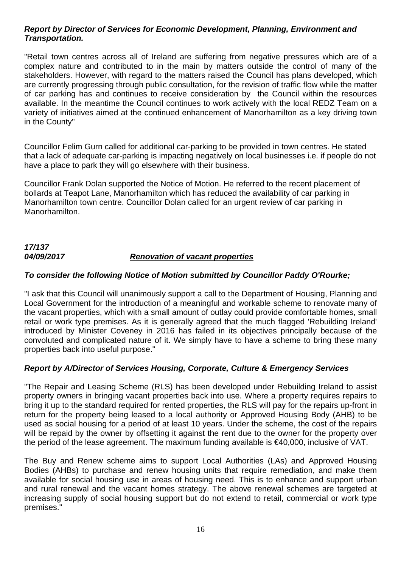# *Report by Director of Services for Economic Development, Planning, Environment and Transportation.*

"Retail town centres across all of Ireland are suffering from negative pressures which are of a complex nature and contributed to in the main by matters outside the control of many of the stakeholders. However, with regard to the matters raised the Council has plans developed, which are currently progressing through public consultation, for the revision of traffic flow while the matter of car parking has and continues to receive consideration by the Council within the resources available. In the meantime the Council continues to work actively with the local REDZ Team on a variety of initiatives aimed at the continued enhancement of Manorhamilton as a key driving town in the County"

Councillor Felim Gurn called for additional car-parking to be provided in town centres. He stated that a lack of adequate car-parking is impacting negatively on local businesses i.e. if people do not have a place to park they will go elsewhere with their business.

Councillor Frank Dolan supported the Notice of Motion. He referred to the recent placement of bollards at Teapot Lane, Manorhamilton which has reduced the availability of car parking in Manorhamilton town centre. Councillor Dolan called for an urgent review of car parking in Manorhamilton.

# *17/137 04/09/2017 Renovation of vacant properties*

# *To consider the following Notice of Motion submitted by Councillor Paddy O'Rourke;*

"I ask that this Council will unanimously support a call to the Department of Housing, Planning and Local Government for the introduction of a meaningful and workable scheme to renovate many of the vacant properties, which with a small amount of outlay could provide comfortable homes, small retail or work type premises. As it is generally agreed that the much flagged 'Rebuilding Ireland' introduced by Minister Coveney in 2016 has failed in its objectives principally because of the convoluted and complicated nature of it. We simply have to have a scheme to bring these many properties back into useful purpose."

# *Report by A/Director of Services Housing, Corporate, Culture & Emergency Services*

"The Repair and Leasing Scheme (RLS) has been developed under Rebuilding Ireland to assist property owners in bringing vacant properties back into use. Where a property requires repairs to bring it up to the standard required for rented properties, the RLS will pay for the repairs up-front in return for the property being leased to a local authority or Approved Housing Body (AHB) to be used as social housing for a period of at least 10 years. Under the scheme, the cost of the repairs will be repaid by the owner by offsetting it against the rent due to the owner for the property over the period of the lease agreement. The maximum funding available is €40,000, inclusive of VAT.

The Buy and Renew scheme aims to support Local Authorities (LAs) and Approved Housing Bodies (AHBs) to purchase and renew housing units that require remediation, and make them available for social housing use in areas of housing need. This is to enhance and support urban and rural renewal and the vacant homes strategy. The above renewal schemes are targeted at increasing supply of social housing support but do not extend to retail, commercial or work type premises."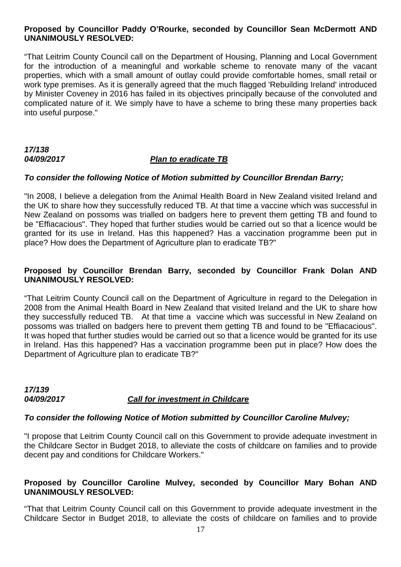#### **Proposed by Councillor Paddy O'Rourke, seconded by Councillor Sean McDermott AND UNANIMOUSLY RESOLVED:**

"That Leitrim County Council call on the Department of Housing, Planning and Local Government for the introduction of a meaningful and workable scheme to renovate many of the vacant properties, which with a small amount of outlay could provide comfortable homes, small retail or work type premises. As it is generally agreed that the much flagged 'Rebuilding Ireland' introduced by Minister Coveney in 2016 has failed in its objectives principally because of the convoluted and complicated nature of it. We simply have to have a scheme to bring these many properties back into useful purpose."

# *17/138*

# *04/09/2017 Plan to eradicate TB*

#### *To consider the following Notice of Motion submitted by Councillor Brendan Barry;*

"In 2008, I believe a delegation from the Animal Health Board in New Zealand visited Ireland and the UK to share how they successfully reduced TB. At that time a vaccine which was successful in New Zealand on possoms was trialled on badgers here to prevent them getting TB and found to be "Effiacacious". They hoped that further studies would be carried out so that a licence would be granted for its use in Ireland. Has this happened? Has a vaccination programme been put in place? How does the Department of Agriculture plan to eradicate TB?"

## **Proposed by Councillor Brendan Barry, seconded by Councillor Frank Dolan AND UNANIMOUSLY RESOLVED:**

"That Leitrim County Council call on the Department of Agriculture in regard to the Delegation in 2008 from the Animal Health Board in New Zealand that visited Ireland and the UK to share how they successfully reduced TB. At that time a vaccine which was successful in New Zealand on possoms was trialled on badgers here to prevent them getting TB and found to be "Effiacacious". It was hoped that further studies would be carried out so that a licence would be granted for its use in Ireland. Has this happened? Has a vaccination programme been put in place? How does the Department of Agriculture plan to eradicate TB?"

#### *17/139 04/09/2017 Call for investment in Childcare*

#### *To consider the following Notice of Motion submitted by Councillor Caroline Mulvey;*

"I propose that Leitrim County Council call on this Government to provide adequate investment in the Childcare Sector in Budget 2018, to alleviate the costs of childcare on families and to provide decent pay and conditions for Childcare Workers."

#### **Proposed by Councillor Caroline Mulvey, seconded by Councillor Mary Bohan AND UNANIMOUSLY RESOLVED:**

"That that Leitrim County Council call on this Government to provide adequate investment in the Childcare Sector in Budget 2018, to alleviate the costs of childcare on families and to provide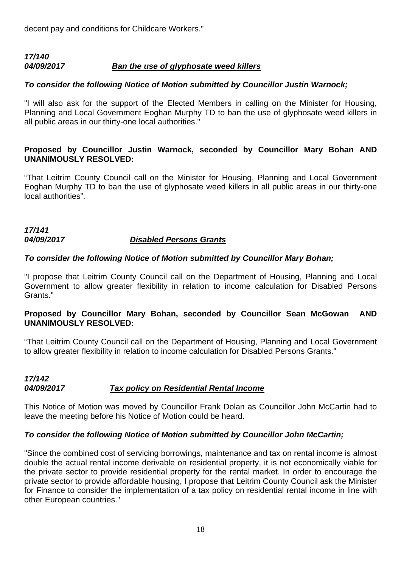decent pay and conditions for Childcare Workers."

## *17/140 04/09/2017 Ban the use of glyphosate weed killers*

# *To consider the following Notice of Motion submitted by Councillor Justin Warnock;*

"I will also ask for the support of the Elected Members in calling on the Minister for Housing, Planning and Local Government Eoghan Murphy TD to ban the use of glyphosate weed killers in all public areas in our thirty-one local authorities."

# **Proposed by Councillor Justin Warnock, seconded by Councillor Mary Bohan AND UNANIMOUSLY RESOLVED:**

"That Leitrim County Council call on the Minister for Housing, Planning and Local Government Eoghan Murphy TD to ban the use of glyphosate weed killers in all public areas in our thirty-one local authorities".

# *17/141 04/09/2017 Disabled Persons Grants*

# *To consider the following Notice of Motion submitted by Councillor Mary Bohan;*

"I propose that Leitrim County Council call on the Department of Housing, Planning and Local Government to allow greater flexibility in relation to income calculation for Disabled Persons Grants."

# **Proposed by Councillor Mary Bohan, seconded by Councillor Sean McGowan AND UNANIMOUSLY RESOLVED:**

"That Leitrim County Council call on the Department of Housing, Planning and Local Government to allow greater flexibility in relation to income calculation for Disabled Persons Grants."

# *17/142 04/09/2017 Tax policy on Residential Rental Income*

This Notice of Motion was moved by Councillor Frank Dolan as Councillor John McCartin had to leave the meeting before his Notice of Motion could be heard.

# *To consider the following Notice of Motion submitted by Councillor John McCartin;*

"Since the combined cost of servicing borrowings, maintenance and tax on rental income is almost double the actual rental income derivable on residential property, it is not economically viable for the private sector to provide residential property for the rental market. In order to encourage the private sector to provide affordable housing, I propose that Leitrim County Council ask the Minister for Finance to consider the implementation of a tax policy on residential rental income in line with other European countries."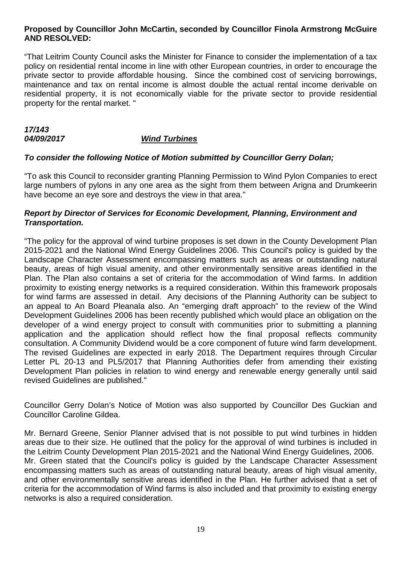#### **Proposed by Councillor John McCartin, seconded by Councillor Finola Armstrong McGuire AND RESOLVED:**

"That Leitrim County Council asks the Minister for Finance to consider the implementation of a tax policy on residential rental income in line with other European countries, in order to encourage the private sector to provide affordable housing. Since the combined cost of servicing borrowings, maintenance and tax on rental income is almost double the actual rental income derivable on residential property, it is not economically viable for the private sector to provide residential property for the rental market. "

# *17/143 04/09/2017 Wind Turbines*

# *To consider the following Notice of Motion submitted by Councillor Gerry Dolan;*

"To ask this Council to reconsider granting Planning Permission to Wind Pylon Companies to erect large numbers of pylons in any one area as the sight from them between Arigna and Drumkeerin have become an eye sore and destroys the view in that area."

## *Report by Director of Services for Economic Development, Planning, Environment and Transportation.*

"The policy for the approval of wind turbine proposes is set down in the County Development Plan 2015-2021 and the National Wind Energy Guidelines 2006. This Council's policy is guided by the Landscape Character Assessment encompassing matters such as areas or outstanding natural beauty, areas of high visual amenity, and other environmentally sensitive areas identified in the Plan. The Plan also contains a set of criteria for the accommodation of Wind farms. In addition proximity to existing energy networks is a required consideration. Within this framework proposals for wind farms are assessed in detail. Any decisions of the Planning Authority can be subject to an appeal to An Board Pleanala also. An "emerging draft approach" to the review of the Wind Development Guidelines 2006 has been recently published which would place an obligation on the developer of a wind energy project to consult with communities prior to submitting a planning application and the application should reflect how the final proposal reflects community consultation. A Community Dividend would be a core component of future wind farm development. The revised Guidelines are expected in early 2018. The Department requires through Circular Letter PL 20-13 and PL5/2017 that Planning Authorities defer from amending their existing Development Plan policies in relation to wind energy and renewable energy generally until said revised Guidelines are published."

Councillor Gerry Dolan's Notice of Motion was also supported by Councillor Des Guckian and Councillor Caroline Gildea.

Mr. Bernard Greene, Senior Planner advised that is not possible to put wind turbines in hidden areas due to their size. He outlined that the policy for the approval of wind turbines is included in the Leitrim County Development Plan 2015-2021 and the National Wind Energy Guidelines, 2006. Mr. Green stated that the Council's policy is guided by the Landscape Character Assessment encompassing matters such as areas of outstanding natural beauty, areas of high visual amenity, and other environmentally sensitive areas identified in the Plan. He further advised that a set of criteria for the accommodation of Wind farms is also included and that proximity to existing energy networks is also a required consideration.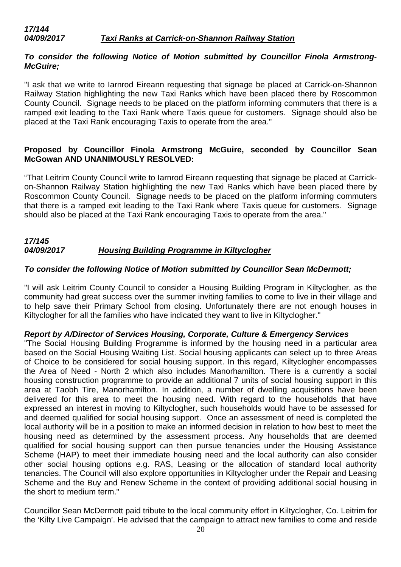## *17/144 04/09/2017 Taxi Ranks at Carrick-on-Shannon Railway Station*

# *To consider the following Notice of Motion submitted by Councillor Finola Armstrong-McGuire;*

"I ask that we write to Iarnrod Eireann requesting that signage be placed at Carrick-on-Shannon Railway Station highlighting the new Taxi Ranks which have been placed there by Roscommon County Council. Signage needs to be placed on the platform informing commuters that there is a ramped exit leading to the Taxi Rank where Taxis queue for customers. Signage should also be placed at the Taxi Rank encouraging Taxis to operate from the area."

# **Proposed by Councillor Finola Armstrong McGuire, seconded by Councillor Sean McGowan AND UNANIMOUSLY RESOLVED:**

"That Leitrim County Council write to Iarnrod Eireann requesting that signage be placed at Carrickon-Shannon Railway Station highlighting the new Taxi Ranks which have been placed there by Roscommon County Council. Signage needs to be placed on the platform informing commuters that there is a ramped exit leading to the Taxi Rank where Taxis queue for customers. Signage should also be placed at the Taxi Rank encouraging Taxis to operate from the area."

#### *17/145 04/09/2017 Housing Building Programme in Kiltyclogher*

# *To consider the following Notice of Motion submitted by Councillor Sean McDermott;*

"I will ask Leitrim County Council to consider a Housing Building Program in Kiltyclogher, as the community had great success over the summer inviting families to come to live in their village and to help save their Primary School from closing. Unfortunately there are not enough houses in Kiltyclogher for all the families who have indicated they want to live in Kiltyclogher."

#### *Report by A/Director of Services Housing, Corporate, Culture & Emergency Services*

"The Social Housing Building Programme is informed by the housing need in a particular area based on the Social Housing Waiting List. Social housing applicants can select up to three Areas of Choice to be considered for social housing support. In this regard, Kiltyclogher encompasses the Area of Need - North 2 which also includes Manorhamilton. There is a currently a social housing construction programme to provide an additional 7 units of social housing support in this area at Taobh Tire, Manorhamilton. In addition, a number of dwelling acquisitions have been delivered for this area to meet the housing need. With regard to the households that have expressed an interest in moving to Kiltyclogher, such households would have to be assessed for and deemed qualified for social housing support. Once an assessment of need is completed the local authority will be in a position to make an informed decision in relation to how best to meet the housing need as determined by the assessment process. Any households that are deemed qualified for social housing support can then pursue tenancies under the Housing Assistance Scheme (HAP) to meet their immediate housing need and the local authority can also consider other social housing options e.g. RAS, Leasing or the allocation of standard local authority tenancies. The Council will also explore opportunities in Kiltyclogher under the Repair and Leasing Scheme and the Buy and Renew Scheme in the context of providing additional social housing in the short to medium term."

Councillor Sean McDermott paid tribute to the local community effort in Kiltyclogher, Co. Leitrim for the 'Kilty Live Campaign'. He advised that the campaign to attract new families to come and reside